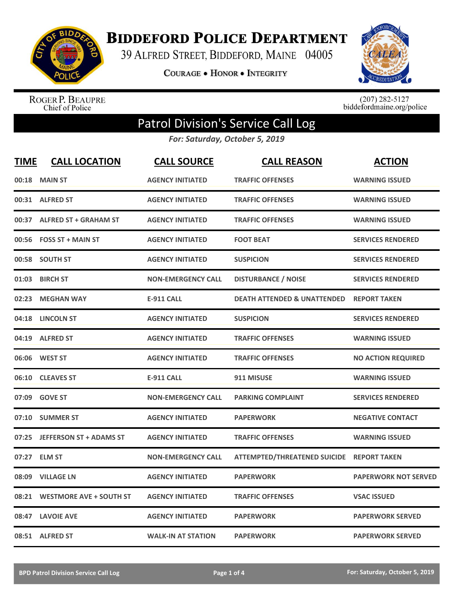

**BIDDEFORD POLICE DEPARTMENT** 

39 ALFRED STREET, BIDDEFORD, MAINE 04005

**COURAGE . HONOR . INTEGRITY** 



ROGER P. BEAUPRE<br>Chief of Police

 $(207)$  282-5127<br>biddefordmaine.org/police

## Patrol Division's Service Call Log

*For: Saturday, October 5, 2019*

| <b>TIME</b> | <b>CALL LOCATION</b>           | <b>CALL SOURCE</b>        | <b>CALL REASON</b>                     | <b>ACTION</b>               |
|-------------|--------------------------------|---------------------------|----------------------------------------|-----------------------------|
| 00:18       | <b>MAIN ST</b>                 | <b>AGENCY INITIATED</b>   | <b>TRAFFIC OFFENSES</b>                | <b>WARNING ISSUED</b>       |
|             | 00:31 ALFRED ST                | <b>AGENCY INITIATED</b>   | <b>TRAFFIC OFFENSES</b>                | <b>WARNING ISSUED</b>       |
| 00:37       | <b>ALFRED ST + GRAHAM ST</b>   | <b>AGENCY INITIATED</b>   | <b>TRAFFIC OFFENSES</b>                | <b>WARNING ISSUED</b>       |
| 00:56       | <b>FOSS ST + MAIN ST</b>       | <b>AGENCY INITIATED</b>   | <b>FOOT BEAT</b>                       | <b>SERVICES RENDERED</b>    |
| 00:58       | <b>SOUTH ST</b>                | <b>AGENCY INITIATED</b>   | <b>SUSPICION</b>                       | <b>SERVICES RENDERED</b>    |
| 01:03       | <b>BIRCH ST</b>                | <b>NON-EMERGENCY CALL</b> | <b>DISTURBANCE / NOISE</b>             | <b>SERVICES RENDERED</b>    |
| 02:23       | <b>MEGHAN WAY</b>              | <b>E-911 CALL</b>         | <b>DEATH ATTENDED &amp; UNATTENDED</b> | <b>REPORT TAKEN</b>         |
| 04:18       | <b>LINCOLN ST</b>              | <b>AGENCY INITIATED</b>   | <b>SUSPICION</b>                       | <b>SERVICES RENDERED</b>    |
| 04:19       | <b>ALFRED ST</b>               | <b>AGENCY INITIATED</b>   | <b>TRAFFIC OFFENSES</b>                | <b>WARNING ISSUED</b>       |
| 06:06       | <b>WEST ST</b>                 | <b>AGENCY INITIATED</b>   | <b>TRAFFIC OFFENSES</b>                | <b>NO ACTION REQUIRED</b>   |
| 06:10       | <b>CLEAVES ST</b>              | <b>E-911 CALL</b>         | 911 MISUSE                             | <b>WARNING ISSUED</b>       |
| 07:09       | <b>GOVE ST</b>                 | <b>NON-EMERGENCY CALL</b> | <b>PARKING COMPLAINT</b>               | <b>SERVICES RENDERED</b>    |
| 07:10       | <b>SUMMER ST</b>               | <b>AGENCY INITIATED</b>   | <b>PAPERWORK</b>                       | <b>NEGATIVE CONTACT</b>     |
| 07:25       | <b>JEFFERSON ST + ADAMS ST</b> | <b>AGENCY INITIATED</b>   | <b>TRAFFIC OFFENSES</b>                | <b>WARNING ISSUED</b>       |
| 07:27       | <b>ELM ST</b>                  | <b>NON-EMERGENCY CALL</b> | <b>ATTEMPTED/THREATENED SUICIDE</b>    | <b>REPORT TAKEN</b>         |
| 08:09       | <b>VILLAGE LN</b>              | <b>AGENCY INITIATED</b>   | <b>PAPERWORK</b>                       | <b>PAPERWORK NOT SERVED</b> |
| 08:21       | <b>WESTMORE AVE + SOUTH ST</b> | <b>AGENCY INITIATED</b>   | <b>TRAFFIC OFFENSES</b>                | <b>VSAC ISSUED</b>          |
|             | 08:47 LAVOIE AVE               | <b>AGENCY INITIATED</b>   | <b>PAPERWORK</b>                       | <b>PAPERWORK SERVED</b>     |
|             | 08:51 ALFRED ST                | <b>WALK-IN AT STATION</b> | <b>PAPERWORK</b>                       | <b>PAPERWORK SERVED</b>     |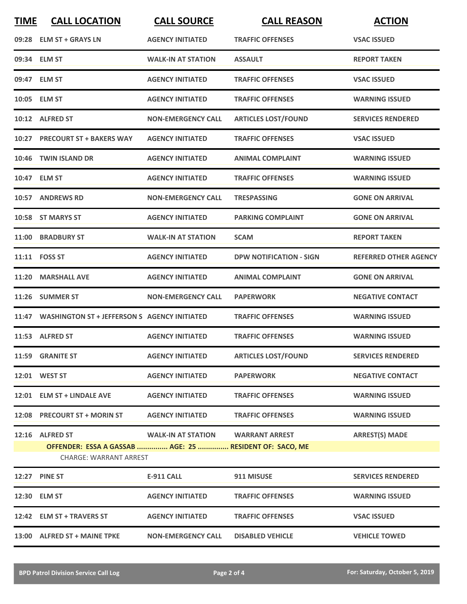| <b>TIME</b> | <b>CALL LOCATION</b>                                                                                        | <b>CALL SOURCE</b>        | <b>CALL REASON</b>             | <b>ACTION</b>                |
|-------------|-------------------------------------------------------------------------------------------------------------|---------------------------|--------------------------------|------------------------------|
|             | 09:28 ELM ST + GRAYS LN                                                                                     | <b>AGENCY INITIATED</b>   | <b>TRAFFIC OFFENSES</b>        | <b>VSAC ISSUED</b>           |
|             | 09:34 ELM ST                                                                                                | <b>WALK-IN AT STATION</b> | <b>ASSAULT</b>                 | <b>REPORT TAKEN</b>          |
|             | 09:47 ELM ST                                                                                                | <b>AGENCY INITIATED</b>   | <b>TRAFFIC OFFENSES</b>        | <b>VSAC ISSUED</b>           |
|             | 10:05 ELM ST                                                                                                | <b>AGENCY INITIATED</b>   | <b>TRAFFIC OFFENSES</b>        | <b>WARNING ISSUED</b>        |
|             | 10:12 ALFRED ST                                                                                             | <b>NON-EMERGENCY CALL</b> | <b>ARTICLES LOST/FOUND</b>     | <b>SERVICES RENDERED</b>     |
|             | 10:27 PRECOURT ST + BAKERS WAY                                                                              | <b>AGENCY INITIATED</b>   | <b>TRAFFIC OFFENSES</b>        | <b>VSAC ISSUED</b>           |
|             | 10:46 TWIN ISLAND DR                                                                                        | <b>AGENCY INITIATED</b>   | <b>ANIMAL COMPLAINT</b>        | <b>WARNING ISSUED</b>        |
|             | 10:47 ELM ST                                                                                                | <b>AGENCY INITIATED</b>   | <b>TRAFFIC OFFENSES</b>        | <b>WARNING ISSUED</b>        |
|             | 10:57 ANDREWS RD                                                                                            | <b>NON-EMERGENCY CALL</b> | <b>TRESPASSING</b>             | <b>GONE ON ARRIVAL</b>       |
|             | 10:58 ST MARYS ST                                                                                           | <b>AGENCY INITIATED</b>   | <b>PARKING COMPLAINT</b>       | <b>GONE ON ARRIVAL</b>       |
|             | 11:00 BRADBURY ST                                                                                           | <b>WALK-IN AT STATION</b> | <b>SCAM</b>                    | <b>REPORT TAKEN</b>          |
|             | 11:11 FOSS ST                                                                                               | <b>AGENCY INITIATED</b>   | <b>DPW NOTIFICATION - SIGN</b> | <b>REFERRED OTHER AGENCY</b> |
|             | 11:20 MARSHALL AVE                                                                                          | <b>AGENCY INITIATED</b>   | <b>ANIMAL COMPLAINT</b>        | <b>GONE ON ARRIVAL</b>       |
|             | 11:26 SUMMER ST                                                                                             | <b>NON-EMERGENCY CALL</b> | <b>PAPERWORK</b>               | <b>NEGATIVE CONTACT</b>      |
|             | 11:47 WASHINGTON ST + JEFFERSON S AGENCY INITIATED                                                          |                           | <b>TRAFFIC OFFENSES</b>        | <b>WARNING ISSUED</b>        |
|             | 11:53 ALFRED ST                                                                                             | <b>AGENCY INITIATED</b>   | <b>TRAFFIC OFFENSES</b>        | <b>WARNING ISSUED</b>        |
|             | 11:59 GRANITE ST                                                                                            | <b>AGENCY INITIATED</b>   | <b>ARTICLES LOST/FOUND</b>     | <b>SERVICES RENDERED</b>     |
|             | 12:01 WEST ST                                                                                               | <b>AGENCY INITIATED</b>   | <b>PAPERWORK</b>               | <b>NEGATIVE CONTACT</b>      |
|             | 12:01 ELM ST + LINDALE AVE                                                                                  | <b>AGENCY INITIATED</b>   | <b>TRAFFIC OFFENSES</b>        | <b>WARNING ISSUED</b>        |
|             | 12:08 PRECOURT ST + MORIN ST                                                                                | <b>AGENCY INITIATED</b>   | <b>TRAFFIC OFFENSES</b>        | <b>WARNING ISSUED</b>        |
|             | 12:16 ALFRED ST<br>OFFENDER: ESSA A GASSAB  AGE: 25  RESIDENT OF: SACO, ME<br><b>CHARGE: WARRANT ARREST</b> | <b>WALK-IN AT STATION</b> | <b>WARRANT ARREST</b>          | <b>ARREST(S) MADE</b>        |
|             | <b>12:27 PINE ST</b>                                                                                        | <b>E-911 CALL</b>         | 911 MISUSE                     | <b>SERVICES RENDERED</b>     |
|             | 12:30 ELM ST                                                                                                | <b>AGENCY INITIATED</b>   | <b>TRAFFIC OFFENSES</b>        | <b>WARNING ISSUED</b>        |
|             | 12:42 ELM ST + TRAVERS ST                                                                                   | <b>AGENCY INITIATED</b>   | <b>TRAFFIC OFFENSES</b>        | <b>VSAC ISSUED</b>           |
|             | 13:00 ALFRED ST + MAINE TPKE                                                                                | <b>NON-EMERGENCY CALL</b> | <b>DISABLED VEHICLE</b>        | <b>VEHICLE TOWED</b>         |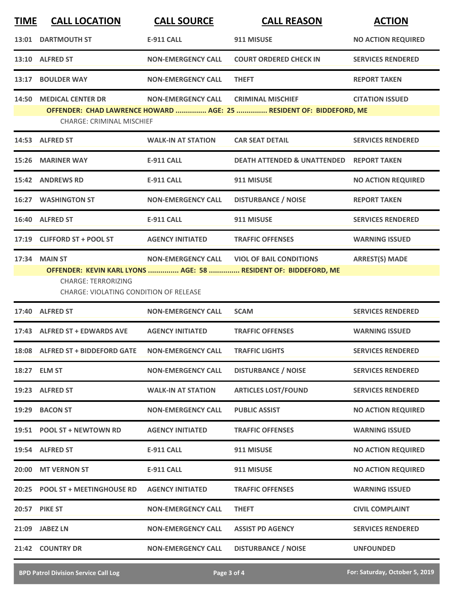| <b>TIME</b> | <b>CALL LOCATION</b>                                                                                                                                                                                                                   | <b>CALL SOURCE</b>        | <b>CALL REASON</b>                                                                              | <b>ACTION</b>             |  |  |
|-------------|----------------------------------------------------------------------------------------------------------------------------------------------------------------------------------------------------------------------------------------|---------------------------|-------------------------------------------------------------------------------------------------|---------------------------|--|--|
|             | 13:01 DARTMOUTH ST                                                                                                                                                                                                                     | <b>E-911 CALL</b>         | 911 MISUSE                                                                                      | <b>NO ACTION REQUIRED</b> |  |  |
|             | 13:10 ALFRED ST                                                                                                                                                                                                                        | <b>NON-EMERGENCY CALL</b> | <b>COURT ORDERED CHECK IN</b>                                                                   | <b>SERVICES RENDERED</b>  |  |  |
|             | 13:17 BOULDER WAY                                                                                                                                                                                                                      | <b>NON-EMERGENCY CALL</b> | <b>THEFT</b>                                                                                    | <b>REPORT TAKEN</b>       |  |  |
|             | 14:50 MEDICAL CENTER DR<br><b>CHARGE: CRIMINAL MISCHIEF</b>                                                                                                                                                                            | <b>NON-EMERGENCY CALL</b> | <b>CRIMINAL MISCHIEF</b><br>OFFENDER: CHAD LAWRENCE HOWARD  AGE: 25  RESIDENT OF: BIDDEFORD, ME | <b>CITATION ISSUED</b>    |  |  |
|             | 14:53 ALFRED ST                                                                                                                                                                                                                        | <b>WALK-IN AT STATION</b> | <b>CAR SEAT DETAIL</b>                                                                          | <b>SERVICES RENDERED</b>  |  |  |
|             | 15:26 MARINER WAY                                                                                                                                                                                                                      | <b>E-911 CALL</b>         | <b>DEATH ATTENDED &amp; UNATTENDED REPORT TAKEN</b>                                             |                           |  |  |
|             | 15:42 ANDREWS RD                                                                                                                                                                                                                       | <b>E-911 CALL</b>         | 911 MISUSE                                                                                      | <b>NO ACTION REQUIRED</b> |  |  |
|             | <b>16:27 WASHINGTON ST</b>                                                                                                                                                                                                             | <b>NON-EMERGENCY CALL</b> | <b>DISTURBANCE / NOISE</b>                                                                      | <b>REPORT TAKEN</b>       |  |  |
|             | 16:40 ALFRED ST                                                                                                                                                                                                                        | <b>E-911 CALL</b>         | 911 MISUSE                                                                                      | <b>SERVICES RENDERED</b>  |  |  |
|             | 17:19 CLIFFORD ST + POOL ST                                                                                                                                                                                                            | <b>AGENCY INITIATED</b>   | <b>TRAFFIC OFFENSES</b>                                                                         | <b>WARNING ISSUED</b>     |  |  |
|             | <b>ARREST(S) MADE</b><br>17:34 MAIN ST<br>NON-EMERGENCY CALL VIOL OF BAIL CONDITIONS<br>OFFENDER: KEVIN KARL LYONS  AGE: 58  RESIDENT OF: BIDDEFORD, ME<br><b>CHARGE: TERRORIZING</b><br><b>CHARGE: VIOLATING CONDITION OF RELEASE</b> |                           |                                                                                                 |                           |  |  |
|             | 17:40 ALFRED ST                                                                                                                                                                                                                        | <b>NON-EMERGENCY CALL</b> | <b>SCAM</b>                                                                                     | <b>SERVICES RENDERED</b>  |  |  |
|             | 17:43 ALFRED ST + EDWARDS AVE                                                                                                                                                                                                          | <b>AGENCY INITIATED</b>   | <b>TRAFFIC OFFENSES</b>                                                                         | <b>WARNING ISSUED</b>     |  |  |
|             | 18:08 ALFRED ST + BIDDEFORD GATE                                                                                                                                                                                                       | <b>NON-EMERGENCY CALL</b> | <b>TRAFFIC LIGHTS</b>                                                                           | <b>SERVICES RENDERED</b>  |  |  |
|             | 18:27 ELM ST                                                                                                                                                                                                                           | <b>NON-EMERGENCY CALL</b> | <b>DISTURBANCE / NOISE</b>                                                                      | <b>SERVICES RENDERED</b>  |  |  |
|             | 19:23 ALFRED ST                                                                                                                                                                                                                        | <b>WALK-IN AT STATION</b> | <b>ARTICLES LOST/FOUND</b>                                                                      | <b>SERVICES RENDERED</b>  |  |  |
|             | 19:29 BACON ST                                                                                                                                                                                                                         | <b>NON-EMERGENCY CALL</b> | <b>PUBLIC ASSIST</b>                                                                            | <b>NO ACTION REQUIRED</b> |  |  |
|             | 19:51 POOL ST + NEWTOWN RD                                                                                                                                                                                                             | <b>AGENCY INITIATED</b>   | <b>TRAFFIC OFFENSES</b>                                                                         | <b>WARNING ISSUED</b>     |  |  |
|             | 19:54 ALFRED ST                                                                                                                                                                                                                        | <b>E-911 CALL</b>         | 911 MISUSE                                                                                      | <b>NO ACTION REQUIRED</b> |  |  |
|             | 20:00 MT VERNON ST                                                                                                                                                                                                                     | E-911 CALL                | 911 MISUSE                                                                                      | <b>NO ACTION REQUIRED</b> |  |  |
|             | 20:25 POOL ST + MEETINGHOUSE RD                                                                                                                                                                                                        | <b>AGENCY INITIATED</b>   | <b>TRAFFIC OFFENSES</b>                                                                         | <b>WARNING ISSUED</b>     |  |  |
|             | 20:57 PIKE ST                                                                                                                                                                                                                          | <b>NON-EMERGENCY CALL</b> | <b>THEFT</b>                                                                                    | <b>CIVIL COMPLAINT</b>    |  |  |
|             | 21:09 JABEZ LN                                                                                                                                                                                                                         | <b>NON-EMERGENCY CALL</b> | <b>ASSIST PD AGENCY</b>                                                                         | <b>SERVICES RENDERED</b>  |  |  |
|             | 21:42 COUNTRY DR                                                                                                                                                                                                                       | <b>NON-EMERGENCY CALL</b> | <b>DISTURBANCE / NOISE</b>                                                                      | <b>UNFOUNDED</b>          |  |  |